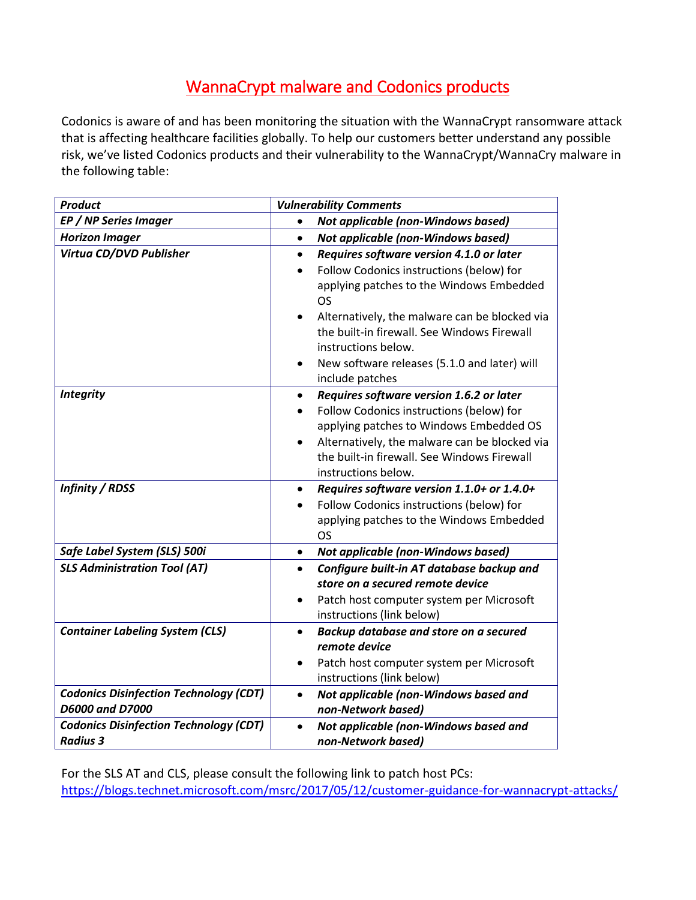## WannaCrypt malware and Codonics products

Codonics is aware of and has been monitoring the situation with the WannaCrypt ransomware attack that is affecting healthcare facilities globally. To help our customers better understand any possible risk, we've listed Codonics products and their vulnerability to the WannaCrypt/WannaCry malware in the following table:

| <b>Product</b>                                | <b>Vulnerability Comments</b>                                         |
|-----------------------------------------------|-----------------------------------------------------------------------|
| EP / NP Series Imager                         | Not applicable (non-Windows based)<br>$\bullet$                       |
| <b>Horizon Imager</b>                         | <b>Not applicable (non-Windows based)</b><br>$\bullet$                |
| Virtua CD/DVD Publisher                       | Requires software version 4.1.0 or later<br>$\bullet$                 |
|                                               | Follow Codonics instructions (below) for                              |
|                                               | applying patches to the Windows Embedded                              |
|                                               | <b>OS</b>                                                             |
|                                               | Alternatively, the malware can be blocked via<br>$\bullet$            |
|                                               | the built-in firewall. See Windows Firewall                           |
|                                               | instructions below.                                                   |
|                                               | New software releases (5.1.0 and later) will                          |
|                                               | include patches                                                       |
| <b>Integrity</b>                              | Requires software version 1.6.2 or later<br>$\bullet$                 |
|                                               | Follow Codonics instructions (below) for                              |
|                                               | applying patches to Windows Embedded OS                               |
|                                               | Alternatively, the malware can be blocked via<br>$\bullet$            |
|                                               | the built-in firewall. See Windows Firewall                           |
|                                               | instructions below.                                                   |
| <b>Infinity / RDSS</b>                        | Requires software version 1.1.0+ or 1.4.0+<br>$\bullet$               |
|                                               | Follow Codonics instructions (below) for                              |
|                                               | applying patches to the Windows Embedded                              |
|                                               | <b>OS</b>                                                             |
| Safe Label System (SLS) 500i                  | Not applicable (non-Windows based)<br>$\bullet$                       |
| <b>SLS Administration Tool (AT)</b>           | Configure built-in AT database backup and<br>$\bullet$                |
|                                               | store on a secured remote device                                      |
|                                               | Patch host computer system per Microsoft                              |
|                                               | instructions (link below)                                             |
| <b>Container Labeling System (CLS)</b>        | Backup database and store on a secured<br>$\bullet$<br>remote device  |
|                                               |                                                                       |
|                                               | Patch host computer system per Microsoft<br>instructions (link below) |
| <b>Codonics Disinfection Technology (CDT)</b> | Not applicable (non-Windows based and<br>$\bullet$                    |
| D6000 and D7000                               | non-Network based)                                                    |
| <b>Codonics Disinfection Technology (CDT)</b> | Not applicable (non-Windows based and                                 |
| <b>Radius 3</b>                               | non-Network based)                                                    |

For the SLS AT and CLS, please consult the following link to patch host PCs: <https://blogs.technet.microsoft.com/msrc/2017/05/12/customer-guidance-for-wannacrypt-attacks/>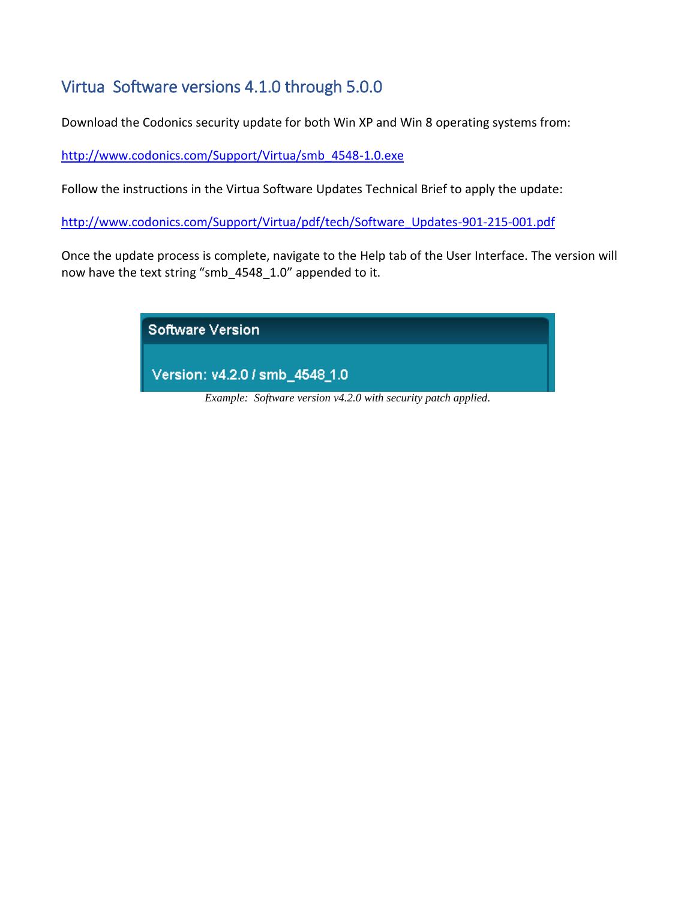### Virtua Software versions 4.1.0 through 5.0.0

Download the Codonics security update for both Win XP and Win 8 operating systems from:

[http://www.codonics.com/Support/Virtua/smb\\_4548-1.0.exe](http://www.codonics.com/Support/Virtua/smb_4548-1.0.exe)

Follow the instructions in the Virtua Software Updates Technical Brief to apply the update:

[http://www.codonics.com/Support/Virtua/pdf/tech/Software\\_Updates-901-215-001.pdf](http://www.codonics.com/Support/Virtua/pdf/tech/Software_Updates-901-215-001.pdf)

Once the update process is complete, navigate to the Help tab of the User Interface. The version will now have the text string "smb\_4548\_1.0" appended to it.

> Software Version Version: v4.2.0 / smb\_4548\_1.0 *Example: Software version v4.2.0 with security patch applied.*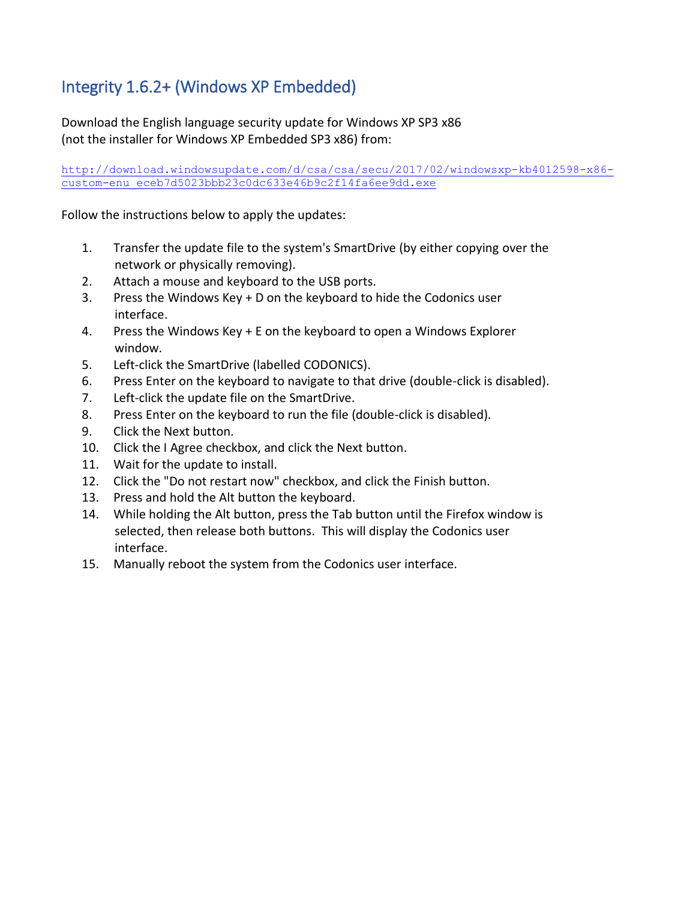# Integrity 1.6.2+ (Windows XP Embedded)

Download the English language security update for Windows XP SP3 x86 (not the installer for Windows XP Embedded SP3 x86) from:

[http://download.windowsupdate.com/d/csa/csa/secu/2017/02/windowsxp-kb4012598-x86](http://download.windowsupdate.com/d/csa/csa/secu/2017/02/windowsxp-kb4012598-x86-custom-enu_eceb7d5023bbb23c0dc633e46b9c2f14fa6ee9dd.exe) custom-enu eceb7d5023bbb23c0dc633e46b9c2f14fa6ee9dd.exe

Follow the instructions below to apply the updates:

- 1. Transfer the update file to the system's SmartDrive (by either copying over the network or physically removing).
- 2. Attach a mouse and keyboard to the USB ports.
- 3. Press the Windows Key + D on the keyboard to hide the Codonics user interface.
- 4. Press the Windows Key + E on the keyboard to open a Windows Explorer window.
- 5. Left-click the SmartDrive (labelled CODONICS).
- 6. Press Enter on the keyboard to navigate to that drive (double-click is disabled).
- 7. Left-click the update file on the SmartDrive.
- 8. Press Enter on the keyboard to run the file (double-click is disabled).
- 9. Click the Next button.
- 10. Click the I Agree checkbox, and click the Next button.
- 11. Wait for the update to install.
- 12. Click the "Do not restart now" checkbox, and click the Finish button.
- 13. Press and hold the Alt button the keyboard.
- 14. While holding the Alt button, press the Tab button until the Firefox window is selected, then release both buttons. This will display the Codonics user interface.
- 15. Manually reboot the system from the Codonics user interface.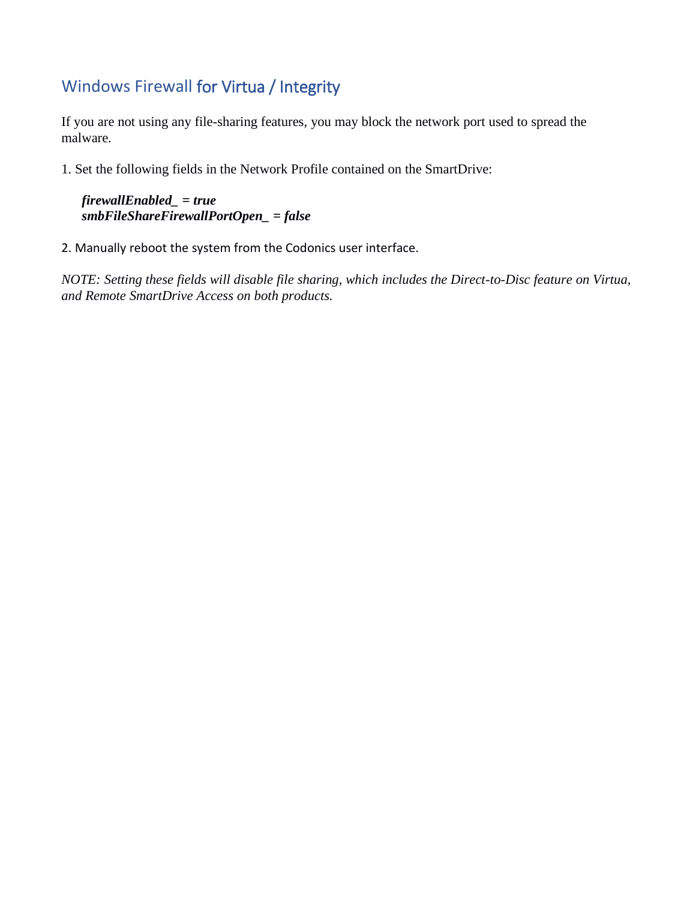#### Windows Firewall for Virtua / Integrity

If you are not using any file-sharing features, you may block the network port used to spread the malware.

1. Set the following fields in the Network Profile contained on the SmartDrive:

```
firewallEnabled_ = true
smbFileShareFirewallPortOpen_ = false
```
2. Manually reboot the system from the Codonics user interface.

*NOTE: Setting these fields will disable file sharing, which includes the Direct-to-Disc feature on Virtua, and Remote SmartDrive Access on both products.*